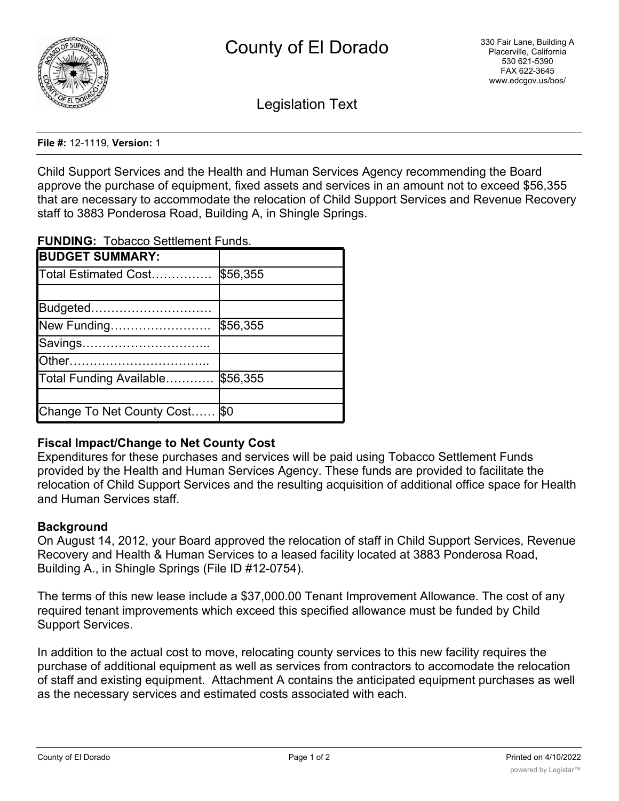

Legislation Text

**File #:** 12-1119, **Version:** 1

Child Support Services and the Health and Human Services Agency recommending the Board approve the purchase of equipment, fixed assets and services in an amount not to exceed \$56,355 that are necessary to accommodate the relocation of Child Support Services and Revenue Recovery staff to 3883 Ponderosa Road, Building A, in Shingle Springs.

**FUNDING:** Tobacco Settlement Funds.

| <b>BUDGET SUMMARY:</b>         |          |
|--------------------------------|----------|
| Total Estimated Cost           | \$56,355 |
|                                |          |
| Budgeted                       |          |
| New Funding                    | \$56,355 |
| Savings                        |          |
|                                |          |
| Total Funding Available        | \$56,355 |
|                                |          |
| Change To Net County Cost  \$0 |          |

## **Fiscal Impact/Change to Net County Cost**

Expenditures for these purchases and services will be paid using Tobacco Settlement Funds provided by the Health and Human Services Agency. These funds are provided to facilitate the relocation of Child Support Services and the resulting acquisition of additional office space for Health and Human Services staff.

## **Background**

On August 14, 2012, your Board approved the relocation of staff in Child Support Services, Revenue Recovery and Health & Human Services to a leased facility located at 3883 Ponderosa Road, Building A., in Shingle Springs (File ID #12-0754).

The terms of this new lease include a \$37,000.00 Tenant Improvement Allowance. The cost of any required tenant improvements which exceed this specified allowance must be funded by Child Support Services.

In addition to the actual cost to move, relocating county services to this new facility requires the purchase of additional equipment as well as services from contractors to accomodate the relocation of staff and existing equipment. Attachment A contains the anticipated equipment purchases as well as the necessary services and estimated costs associated with each.